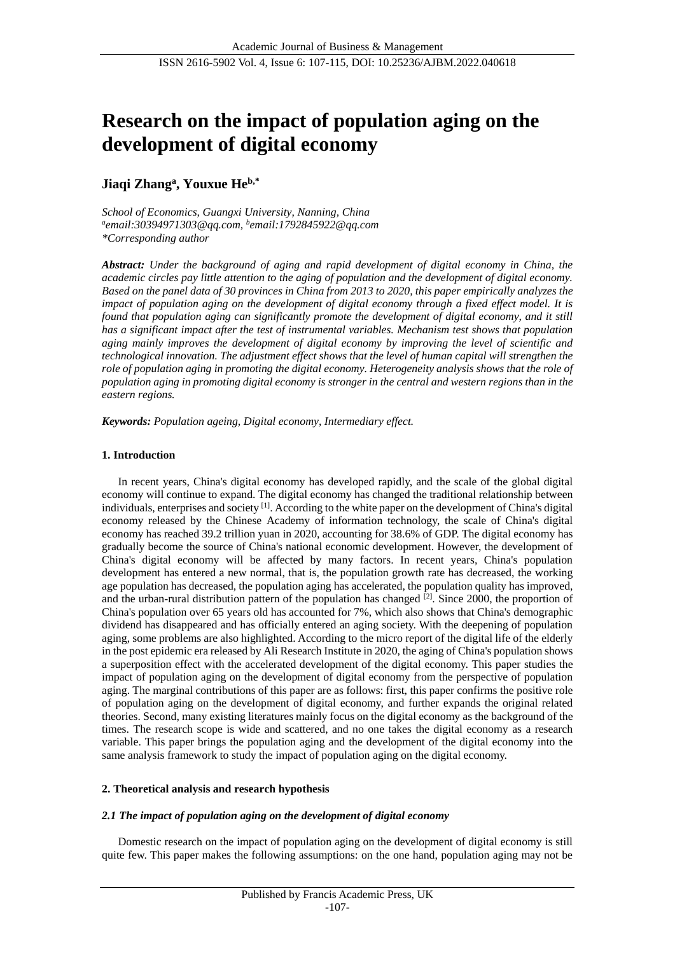# **Research on the impact of population aging on the development of digital economy**

## **Jiaqi Zhang<sup>a</sup> , Youxue Heb,\***

*School of Economics, Guangxi University, Nanning, China a email:30394971303@qq.com, b email:1792845922@qq.com \*Corresponding author*

*Abstract: Under the background of aging and rapid development of digital economy in China, the academic circles pay little attention to the aging of population and the development of digital economy. Based on the panel data of 30 provinces in China from 2013 to 2020, this paper empirically analyzes the impact of population aging on the development of digital economy through a fixed effect model. It is found that population aging can significantly promote the development of digital economy, and it still has a significant impact after the test of instrumental variables. Mechanism test shows that population aging mainly improves the development of digital economy by improving the level of scientific and technological innovation. The adjustment effect shows that the level of human capital will strengthen the role of population aging in promoting the digital economy. Heterogeneity analysis shows that the role of population aging in promoting digital economy is stronger in the central and western regions than in the eastern regions.*

*Keywords: Population ageing, Digital economy, Intermediary effect.*

## **1. Introduction**

In recent years, China's digital economy has developed rapidly, and the scale of the global digital economy will continue to expand. The digital economy has changed the traditional relationship between individuals, enterprises and society [1]. According to the white paper on the development of China's digital economy released by the Chinese Academy of information technology, the scale of China's digital economy has reached 39.2 trillion yuan in 2020, accounting for 38.6% of GDP. The digital economy has gradually become the source of China's national economic development. However, the development of China's digital economy will be affected by many factors. In recent years, China's population development has entered a new normal, that is, the population growth rate has decreased, the working age population has decreased, the population aging has accelerated, the population quality has improved, and the urban-rural distribution pattern of the population has changed  $[2]$ . Since 2000, the proportion of China's population over 65 years old has accounted for 7%, which also shows that China's demographic dividend has disappeared and has officially entered an aging society. With the deepening of population aging, some problems are also highlighted. According to the micro report of the digital life of the elderly in the post epidemic era released by Ali Research Institute in 2020, the aging of China's population shows a superposition effect with the accelerated development of the digital economy. This paper studies the impact of population aging on the development of digital economy from the perspective of population aging. The marginal contributions of this paper are as follows: first, this paper confirms the positive role of population aging on the development of digital economy, and further expands the original related theories. Second, many existing literatures mainly focus on the digital economy as the background of the times. The research scope is wide and scattered, and no one takes the digital economy as a research variable. This paper brings the population aging and the development of the digital economy into the same analysis framework to study the impact of population aging on the digital economy.

## **2. Theoretical analysis and research hypothesis**

## *2.1 The impact of population aging on the development of digital economy*

Domestic research on the impact of population aging on the development of digital economy is still quite few. This paper makes the following assumptions: on the one hand, population aging may not be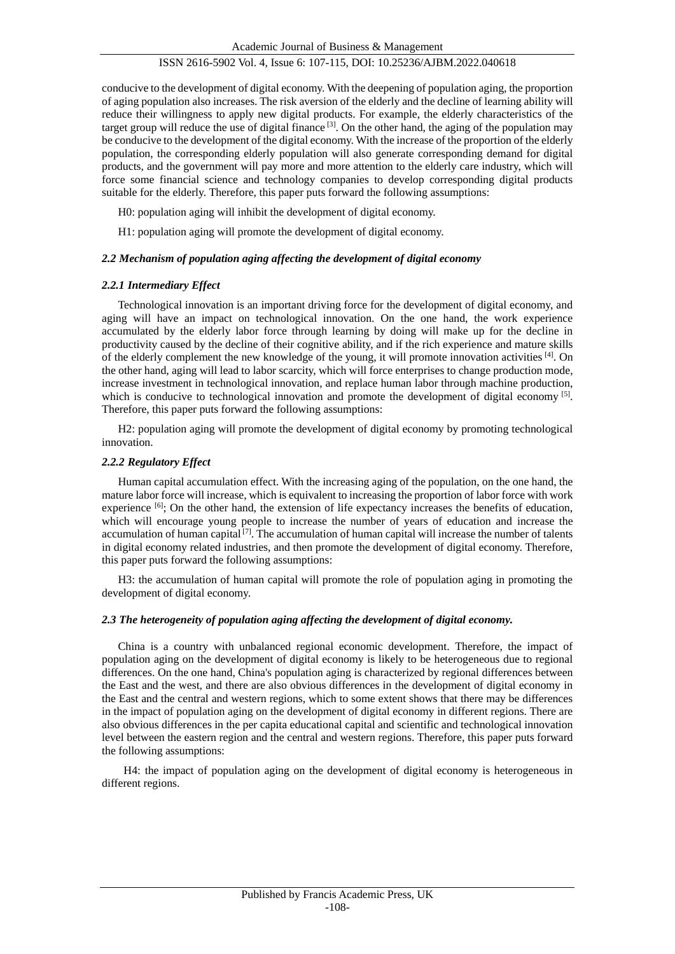conducive to the development of digital economy. With the deepening of population aging, the proportion of aging population also increases. The risk aversion of the elderly and the decline of learning ability will reduce their willingness to apply new digital products. For example, the elderly characteristics of the target group will reduce the use of digital finance  $[3]$ . On the other hand, the aging of the population may be conducive to the development of the digital economy. With the increase of the proportion of the elderly population, the corresponding elderly population will also generate corresponding demand for digital products, and the government will pay more and more attention to the elderly care industry, which will force some financial science and technology companies to develop corresponding digital products suitable for the elderly. Therefore, this paper puts forward the following assumptions:

H0: population aging will inhibit the development of digital economy.

H1: population aging will promote the development of digital economy.

## *2.2 Mechanism of population aging affecting the development of digital economy*

## *2.2.1 Intermediary Effect*

Technological innovation is an important driving force for the development of digital economy, and aging will have an impact on technological innovation. On the one hand, the work experience accumulated by the elderly labor force through learning by doing will make up for the decline in productivity caused by the decline of their cognitive ability, and if the rich experience and mature skills of the elderly complement the new knowledge of the young, it will promote innovation activities  $[4]$ . On the other hand, aging will lead to labor scarcity, which will force enterprises to change production mode, increase investment in technological innovation, and replace human labor through machine production, which is conducive to technological innovation and promote the development of digital economy  $[5]$ . Therefore, this paper puts forward the following assumptions:

H2: population aging will promote the development of digital economy by promoting technological innovation.

## *2.2.2 Regulatory Effect*

Human capital accumulation effect. With the increasing aging of the population, on the one hand, the mature labor force will increase, which is equivalent to increasing the proportion of labor force with work experience  $[6]$ ; On the other hand, the extension of life expectancy increases the benefits of education, which will encourage young people to increase the number of years of education and increase the accumulation of human capital  $[7]$ . The accumulation of human capital will increase the number of talents in digital economy related industries, and then promote the development of digital economy. Therefore, this paper puts forward the following assumptions:

H3: the accumulation of human capital will promote the role of population aging in promoting the development of digital economy.

## *2.3 The heterogeneity of population aging affecting the development of digital economy.*

China is a country with unbalanced regional economic development. Therefore, the impact of population aging on the development of digital economy is likely to be heterogeneous due to regional differences. On the one hand, China's population aging is characterized by regional differences between the East and the west, and there are also obvious differences in the development of digital economy in the East and the central and western regions, which to some extent shows that there may be differences in the impact of population aging on the development of digital economy in different regions. There are also obvious differences in the per capita educational capital and scientific and technological innovation level between the eastern region and the central and western regions. Therefore, this paper puts forward the following assumptions:

H4: the impact of population aging on the development of digital economy is heterogeneous in different regions.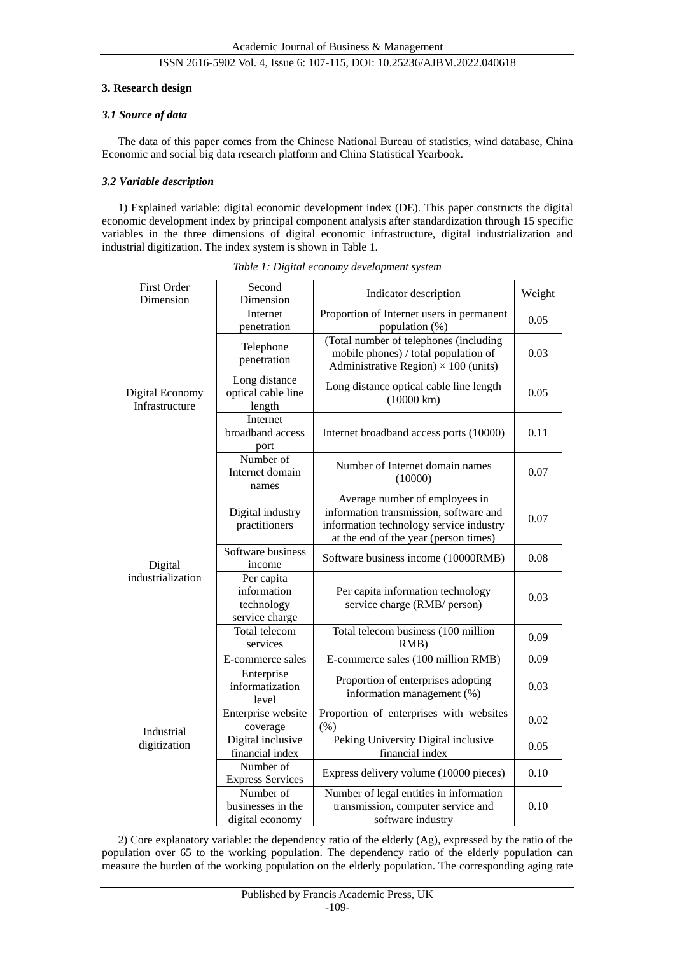#### **3. Research design**

## *3.1 Source of data*

The data of this paper comes from the Chinese National Bureau of statistics, wind database, China Economic and social big data research platform and China Statistical Yearbook.

#### *3.2 Variable description*

1) Explained variable: digital economic development index (DE). This paper constructs the digital economic development index by principal component analysis after standardization through 15 specific variables in the three dimensions of digital economic infrastructure, digital industrialization and industrial digitization. The index system is shown in Table 1.

| <b>First Order</b><br>Dimension   | Second<br>Dimension                                       | Indicator description                                                                                                                                        | Weight |
|-----------------------------------|-----------------------------------------------------------|--------------------------------------------------------------------------------------------------------------------------------------------------------------|--------|
|                                   | Internet<br>penetration                                   | Proportion of Internet users in permanent<br>population (%)                                                                                                  | 0.05   |
|                                   | Telephone<br>penetration                                  | (Total number of telephones (including<br>mobile phones) / total population of<br>Administrative Region) $\times 100$ (units)                                | 0.03   |
| Digital Economy<br>Infrastructure | Long distance<br>optical cable line<br>length             | Long distance optical cable line length<br>$(10000 \text{ km})$                                                                                              | 0.05   |
|                                   | Internet<br>broadband access<br>port                      | Internet broadband access ports (10000)                                                                                                                      | 0.11   |
|                                   | Number of<br>Internet domain<br>names                     | Number of Internet domain names<br>(10000)                                                                                                                   | 0.07   |
| Digital<br>industrialization      | Digital industry<br>practitioners                         | Average number of employees in<br>information transmission, software and<br>information technology service industry<br>at the end of the year (person times) | 0.07   |
|                                   | Software business<br>income                               | Software business income (10000RMB)                                                                                                                          | 0.08   |
|                                   | Per capita<br>information<br>technology<br>service charge | Per capita information technology<br>service charge (RMB/ person)                                                                                            | 0.03   |
|                                   | Total telecom<br>services                                 | Total telecom business (100 million<br>RMB)                                                                                                                  | 0.09   |
|                                   | E-commerce sales                                          | E-commerce sales (100 million RMB)                                                                                                                           | 0.09   |
|                                   | Enterprise<br>informatization<br>level                    | Proportion of enterprises adopting<br>information management (%)                                                                                             | 0.03   |
| Industrial                        | Enterprise website<br>coverage                            | Proportion of enterprises with websites<br>(% )                                                                                                              | 0.02   |
| digitization                      | Digital inclusive<br>financial index                      | Peking University Digital inclusive<br>financial index                                                                                                       | 0.05   |
|                                   | Number of<br><b>Express Services</b>                      | Express delivery volume (10000 pieces)                                                                                                                       | 0.10   |
|                                   | Number of<br>businesses in the<br>digital economy         | Number of legal entities in information<br>transmission, computer service and<br>software industry                                                           | 0.10   |

*Table 1: Digital economy development system*

2) Core explanatory variable: the dependency ratio of the elderly (Ag), expressed by the ratio of the population over 65 to the working population. The dependency ratio of the elderly population can measure the burden of the working population on the elderly population. The corresponding aging rate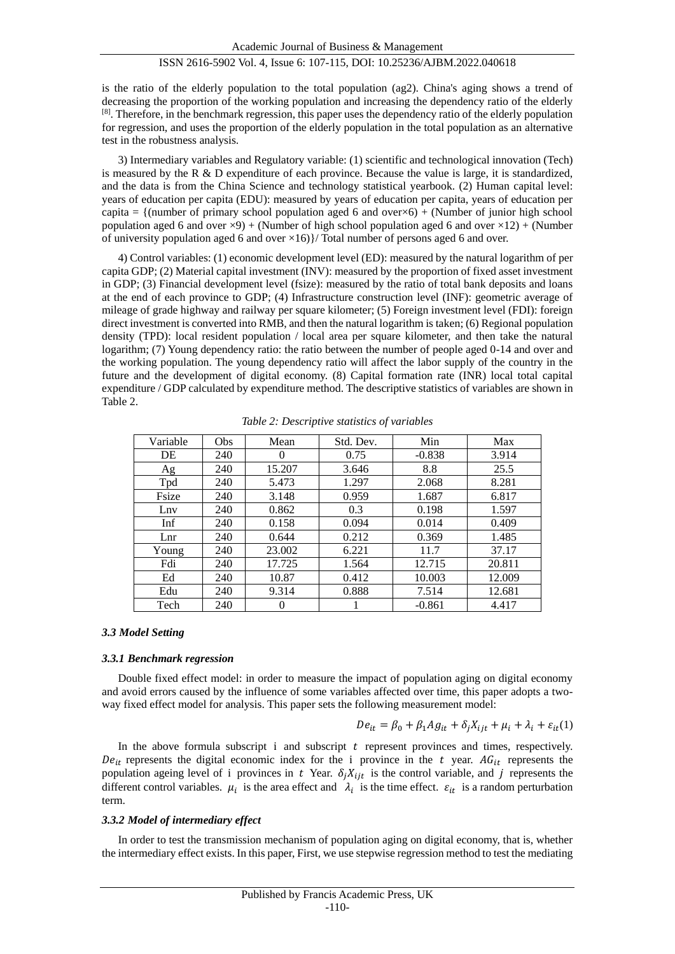is the ratio of the elderly population to the total population (ag2). China's aging shows a trend of decreasing the proportion of the working population and increasing the dependency ratio of the elderly <sup>[8]</sup>. Therefore, in the benchmark regression, this paper uses the dependency ratio of the elderly population for regression, and uses the proportion of the elderly population in the total population as an alternative test in the robustness analysis.

3) Intermediary variables and Regulatory variable: (1) scientific and technological innovation (Tech) is measured by the R & D expenditure of each province. Because the value is large, it is standardized, and the data is from the China Science and technology statistical yearbook. (2) Human capital level: years of education per capita (EDU): measured by years of education per capita, years of education per capita = {(number of primary school population aged 6 and over $\times$ 6) + (Number of junior high school population aged 6 and over  $\angle 9$ ) + (Number of high school population aged 6 and over  $\times 12$ ) + (Number of university population aged 6 and over  $\times 16$ }/ Total number of persons aged 6 and over.

4) Control variables: (1) economic development level (ED): measured by the natural logarithm of per capita GDP; (2) Material capital investment (INV): measured by the proportion of fixed asset investment in GDP; (3) Financial development level (fsize): measured by the ratio of total bank deposits and loans at the end of each province to GDP; (4) Infrastructure construction level (INF): geometric average of mileage of grade highway and railway per square kilometer; (5) Foreign investment level (FDI): foreign direct investment is converted into RMB, and then the natural logarithm is taken; (6) Regional population density (TPD): local resident population / local area per square kilometer, and then take the natural logarithm; (7) Young dependency ratio: the ratio between the number of people aged 0-14 and over and the working population. The young dependency ratio will affect the labor supply of the country in the future and the development of digital economy. (8) Capital formation rate (INR) local total capital expenditure / GDP calculated by expenditure method. The descriptive statistics of variables are shown in Table 2.

| Variable | Obs | Mean   | Std. Dev. | Min      | Max    |
|----------|-----|--------|-----------|----------|--------|
| DE       | 240 |        | 0.75      | $-0.838$ | 3.914  |
| Ag       | 240 | 15.207 | 3.646     | 8.8      | 25.5   |
| Tpd      | 240 | 5.473  | 1.297     | 2.068    | 8.281  |
| Fsize    | 240 | 3.148  | 0.959     | 1.687    | 6.817  |
| Lny      | 240 | 0.862  | 0.3       | 0.198    | 1.597  |
| Inf      | 240 | 0.158  | 0.094     | 0.014    | 0.409  |
| Lnr      | 240 | 0.644  | 0.212     | 0.369    | 1.485  |
| Young    | 240 | 23.002 | 6.221     | 11.7     | 37.17  |
| Fdi      | 240 | 17.725 | 1.564     | 12.715   | 20.811 |
| Ed       | 240 | 10.87  | 0.412     | 10.003   | 12.009 |
| Edu      | 240 | 9.314  | 0.888     | 7.514    | 12.681 |
| Tech     | 240 | 0      |           | $-0.861$ | 4.417  |

*Table 2: Descriptive statistics of variables*

#### *3.3 Model Setting*

#### *3.3.1 Benchmark regression*

Double fixed effect model: in order to measure the impact of population aging on digital economy and avoid errors caused by the influence of some variables affected over time, this paper adopts a twoway fixed effect model for analysis. This paper sets the following measurement model:

$$
De_{it} = \beta_0 + \beta_1 Ag_{it} + \delta_j X_{ijt} + \mu_i + \lambda_i + \varepsilon_{it}(1)
$$

In the above formula subscript  $\mathbf i$  and subscript  $\mathbf t$  represent provinces and times, respectively.  $De_{it}$  represents the digital economic index for the *i* province in the *t* year.  $AG_{it}$  represents the population ageing level of *i* provinces in t Year.  $\delta_i X_{i}$  is the control variable, and j represents the different control variables.  $\mu_i$  is the area effect and  $\lambda_i$  is the time effect.  $\varepsilon_{it}$  is a random perturbation term.

#### *3.3.2 Model of intermediary effect*

In order to test the transmission mechanism of population aging on digital economy, that is, whether the intermediary effect exists. In this paper, First, we use stepwise regression method to test the mediating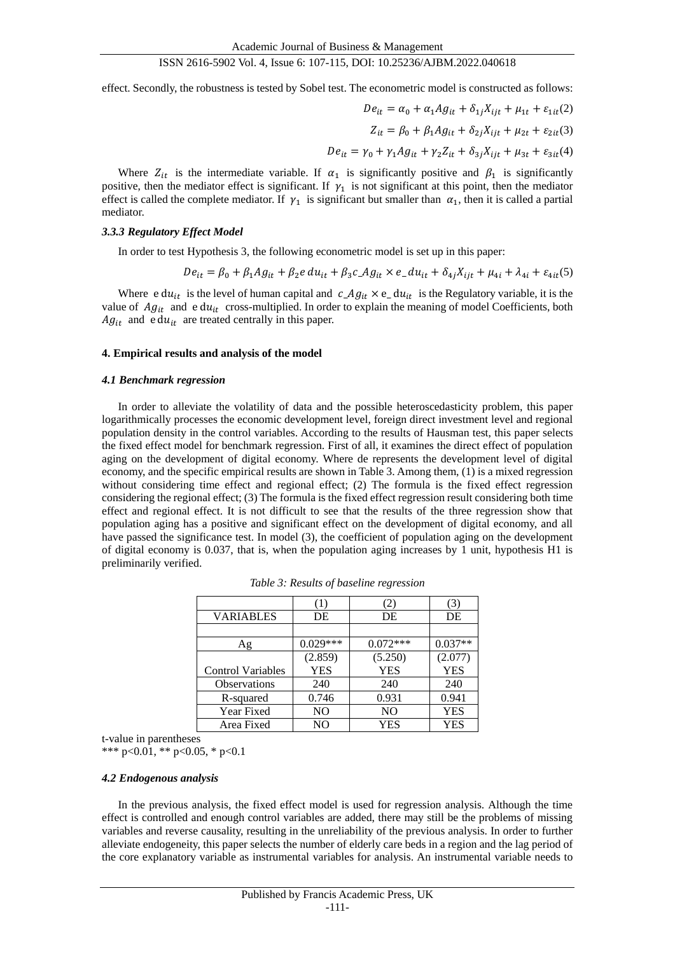effect. Secondly, the robustness is tested by Sobel test. The econometric model is constructed as follows:

$$
De_{it} = \alpha_0 + \alpha_1 Ag_{it} + \delta_{1j} X_{ijt} + \mu_{1t} + \varepsilon_{1it}(2)
$$

$$
Z_{it} = \beta_0 + \beta_1 Ag_{it} + \delta_{2j} X_{ijt} + \mu_{2t} + \varepsilon_{2it}(3)
$$

$$
De_{it} = \gamma_0 + \gamma_1 Ag_{it} + \gamma_2 Z_{it} + \delta_{3j} X_{ijt} + \mu_{3t} + \varepsilon_{3it}(4)
$$

Where  $Z_{it}$  is the intermediate variable. If  $\alpha_1$  is significantly positive and  $\beta_1$  is significantly positive, then the mediator effect is significant. If  $\gamma_1$  is not significant at this point, then the mediator effect is called the complete mediator. If  $\gamma_1$  is significant but smaller than  $\alpha_1$ , then it is called a partial mediator.

#### *3.3.3 Regulatory Effect Model*

In order to test Hypothesis 3, the following econometric model is set up in this paper:

$$
De_{it} = \beta_0 + \beta_1 Ag_{it} + \beta_2 e \, du_{it} + \beta_3 c \, Ag_{it} \times e \, du_{it} + \delta_{4j} X_{ijt} + \mu_{4i} + \lambda_{4i} + \varepsilon_{4it}(5)
$$

Where  $edu_{it}$  is the level of human capital and  $c_A g_{it} \times e_A u_{it}$  is the Regulatory variable, it is the value of  $Ag_{it}$  and  $edu_{it}$  cross-multiplied. In order to explain the meaning of model Coefficients, both  $Ag_{it}$  and e du<sub>it</sub> are treated centrally in this paper.

#### **4. Empirical results and analysis of the model**

#### *4.1 Benchmark regression*

In order to alleviate the volatility of data and the possible heteroscedasticity problem, this paper logarithmically processes the economic development level, foreign direct investment level and regional population density in the control variables. According to the results of Hausman test, this paper selects the fixed effect model for benchmark regression. First of all, it examines the direct effect of population aging on the development of digital economy. Where de represents the development level of digital economy, and the specific empirical results are shown in Table 3. Among them, (1) is a mixed regression without considering time effect and regional effect; (2) The formula is the fixed effect regression considering the regional effect; (3) The formula is the fixed effect regression result considering both time effect and regional effect. It is not difficult to see that the results of the three regression show that population aging has a positive and significant effect on the development of digital economy, and all have passed the significance test. In model (3), the coefficient of population aging on the development of digital economy is 0.037, that is, when the population aging increases by 1 unit, hypothesis H1 is preliminarily verified.

|                          | (1)        | (2)        | (3)        |
|--------------------------|------------|------------|------------|
| <b>VARIABLES</b>         | DE         | DE         | DE         |
|                          |            |            |            |
| Ag                       | $0.029***$ | $0.072***$ | $0.037**$  |
|                          | (2.859)    | (5.250)    | (2.077)    |
| <b>Control Variables</b> | <b>YES</b> | <b>YES</b> | <b>YES</b> |
| Observations             | 240        | 240        | 240        |
| R-squared                | 0.746      | 0.931      | 0.941      |
| Year Fixed               | NO         | NO.        | <b>YES</b> |
| Area Fixed               | NO         | YES        | YES        |

*Table 3: Results of baseline regression*

t-value in parentheses

\*\*\* p<0.01, \*\* p<0.05, \* p<0.1

#### *4.2 Endogenous analysis*

In the previous analysis, the fixed effect model is used for regression analysis. Although the time effect is controlled and enough control variables are added, there may still be the problems of missing variables and reverse causality, resulting in the unreliability of the previous analysis. In order to further alleviate endogeneity, this paper selects the number of elderly care beds in a region and the lag period of the core explanatory variable as instrumental variables for analysis. An instrumental variable needs to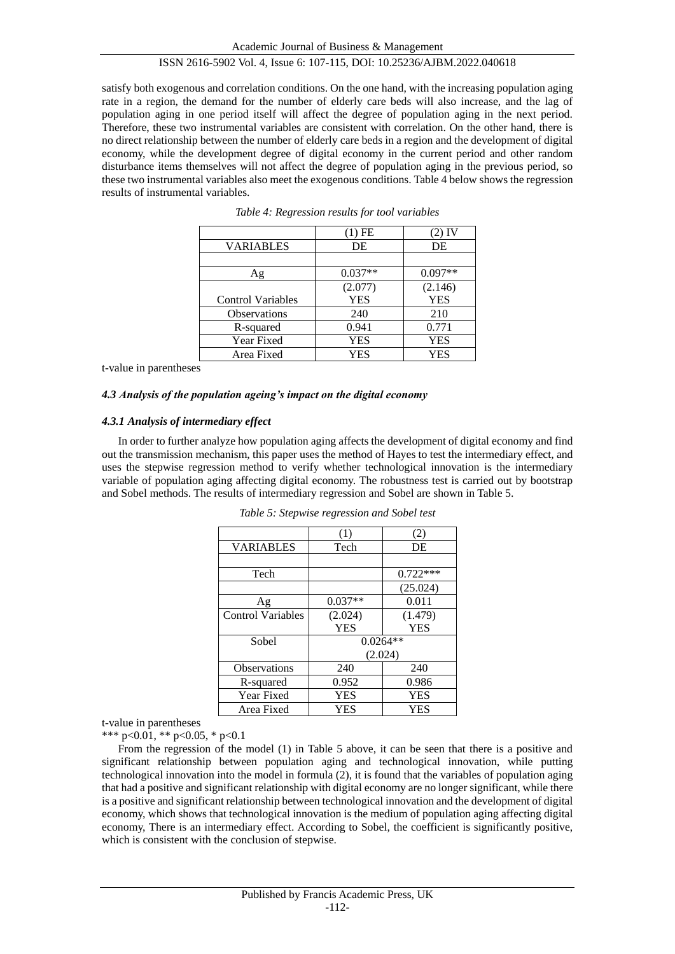satisfy both exogenous and correlation conditions. On the one hand, with the increasing population aging rate in a region, the demand for the number of elderly care beds will also increase, and the lag of population aging in one period itself will affect the degree of population aging in the next period. Therefore, these two instrumental variables are consistent with correlation. On the other hand, there is no direct relationship between the number of elderly care beds in a region and the development of digital economy, while the development degree of digital economy in the current period and other random disturbance items themselves will not affect the degree of population aging in the previous period, so these two instrumental variables also meet the exogenous conditions. Table 4 below shows the regression results of instrumental variables.

|                          | (1) FE     | 2) IV      |
|--------------------------|------------|------------|
| <b>VARIABLES</b>         | DE         | DE         |
|                          |            |            |
| Αg                       | $0.037**$  | $0.097**$  |
|                          | (2.077)    | (2.146)    |
| <b>Control Variables</b> | <b>YES</b> | <b>YES</b> |
| Observations             | 240        | 210        |
| R-squared                | 0.941      | 0.771      |
| Year Fixed               | YES        | YES        |
| Area Fixed               | YES        | YES        |

| Table 4: Regression results for tool variables |  |  |  |  |
|------------------------------------------------|--|--|--|--|
|                                                |  |  |  |  |

t-value in parentheses

#### *4.3 Analysis of the population ageing's impact on the digital economy*

#### *4.3.1 Analysis of intermediary effect*

In order to further analyze how population aging affects the development of digital economy and find out the transmission mechanism, this paper uses the method of Hayes to test the intermediary effect, and uses the stepwise regression method to verify whether technological innovation is the intermediary variable of population aging affecting digital economy. The robustness test is carried out by bootstrap and Sobel methods. The results of intermediary regression and Sobel are shown in Table 5.

|                          | (1)        | (2)        |  |
|--------------------------|------------|------------|--|
| <b>VARIABLES</b>         | Tech       | DE         |  |
|                          |            |            |  |
| Tech                     |            | $0.722***$ |  |
|                          |            | (25.024)   |  |
| Ag                       | $0.037**$  | 0.011      |  |
| <b>Control Variables</b> | (2.024)    | (1.479)    |  |
|                          | <b>YES</b> | <b>YES</b> |  |
| Sobel                    | $0.0264**$ |            |  |
|                          |            | (2.024)    |  |
| Observations             | 240        | 240        |  |
| R-squared                | 0.952      | 0.986      |  |
| Year Fixed               | <b>YES</b> | <b>YES</b> |  |
| Area Fixed               | YES        | YES        |  |

*Table 5: Stepwise regression and Sobel test*

t-value in parentheses

\*\*\* p<0.01, \*\* p<0.05, \* p<0.1

From the regression of the model (1) in Table 5 above, it can be seen that there is a positive and significant relationship between population aging and technological innovation, while putting technological innovation into the model in formula (2), it is found that the variables of population aging that had a positive and significant relationship with digital economy are no longer significant, while there is a positive and significant relationship between technological innovation and the development of digital economy, which shows that technological innovation is the medium of population aging affecting digital economy, There is an intermediary effect. According to Sobel, the coefficient is significantly positive, which is consistent with the conclusion of stepwise.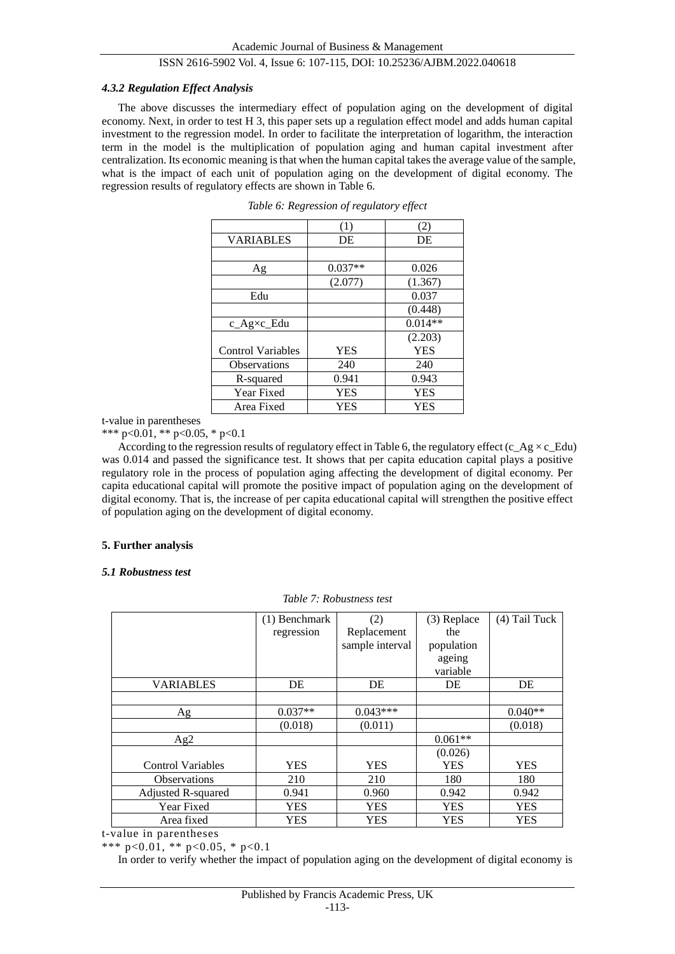#### *4.3.2 Regulation Effect Analysis*

The above discusses the intermediary effect of population aging on the development of digital economy. Next, in order to test H 3, this paper sets up a regulation effect model and adds human capital investment to the regression model. In order to facilitate the interpretation of logarithm, the interaction term in the model is the multiplication of population aging and human capital investment after centralization. Its economic meaning is that when the human capital takes the average value of the sample, what is the impact of each unit of population aging on the development of digital economy. The regression results of regulatory effects are shown in Table 6.

|                          | (1)        | (2)        |
|--------------------------|------------|------------|
| <b>VARIABLES</b>         | DE         | DE         |
|                          |            |            |
| Ag                       | $0.037**$  | 0.026      |
|                          | (2.077)    | (1.367)    |
| Edu                      |            | 0.037      |
|                          |            | (0.448)    |
| $c_Ag \times L$ Edu      |            | $0.014**$  |
|                          |            | (2.203)    |
| <b>Control Variables</b> | <b>YES</b> | <b>YES</b> |
| <b>Observations</b>      | 240        | 240        |
| R-squared                | 0.941      | 0.943      |
| Year Fixed               | <b>YES</b> | <b>YES</b> |
| Area Fixed               | YES        | <b>YES</b> |

| Table 6: Regression of regulatory effect |  |  |  |
|------------------------------------------|--|--|--|
|------------------------------------------|--|--|--|

t-value in parentheses

\*\*\* p<0.01, \*\* p<0.05, \* p<0.1

According to the regression results of regulatory effect in Table 6, the regulatory effect (c\_Ag  $\times$ c\_Edu) was 0.014 and passed the significance test. It shows that per capita education capital plays a positive regulatory role in the process of population aging affecting the development of digital economy. Per capita educational capital will promote the positive impact of population aging on the development of digital economy. That is, the increase of per capita educational capital will strengthen the positive effect of population aging on the development of digital economy.

## **5. Further analysis**

## *5.1 Robustness test*

*Table 7: Robustness test*

|                          | $(1)$ Benchmark | (2)             | (3) Replace | $(4)$ Tail Tuck |
|--------------------------|-----------------|-----------------|-------------|-----------------|
|                          | regression      | Replacement     | the         |                 |
|                          |                 | sample interval | population  |                 |
|                          |                 |                 | ageing      |                 |
|                          |                 |                 | variable    |                 |
| <b>VARIABLES</b>         | DE              | DE              | DE          | DE              |
|                          |                 |                 |             |                 |
| Ag                       | $0.037**$       | $0.043***$      |             | $0.040**$       |
|                          | (0.018)         | (0.011)         |             | (0.018)         |
| Ag2                      |                 |                 | $0.061**$   |                 |
|                          |                 |                 | (0.026)     |                 |
| <b>Control Variables</b> | <b>YES</b>      | <b>YES</b>      | <b>YES</b>  | <b>YES</b>      |
| <b>Observations</b>      | 210             | 210             | 180         | 180             |
| Adjusted R-squared       | 0.941           | 0.960           | 0.942       | 0.942           |
| Year Fixed               | <b>YES</b>      | <b>YES</b>      | <b>YES</b>  | <b>YES</b>      |
| Area fixed               | <b>YES</b>      | <b>YES</b>      | <b>YES</b>  | <b>YES</b>      |

t-value in parentheses

\*\*\* p<0.01, \*\* p<0.05, \* p<0.1

In order to verify whether the impact of population aging on the development of digital economy is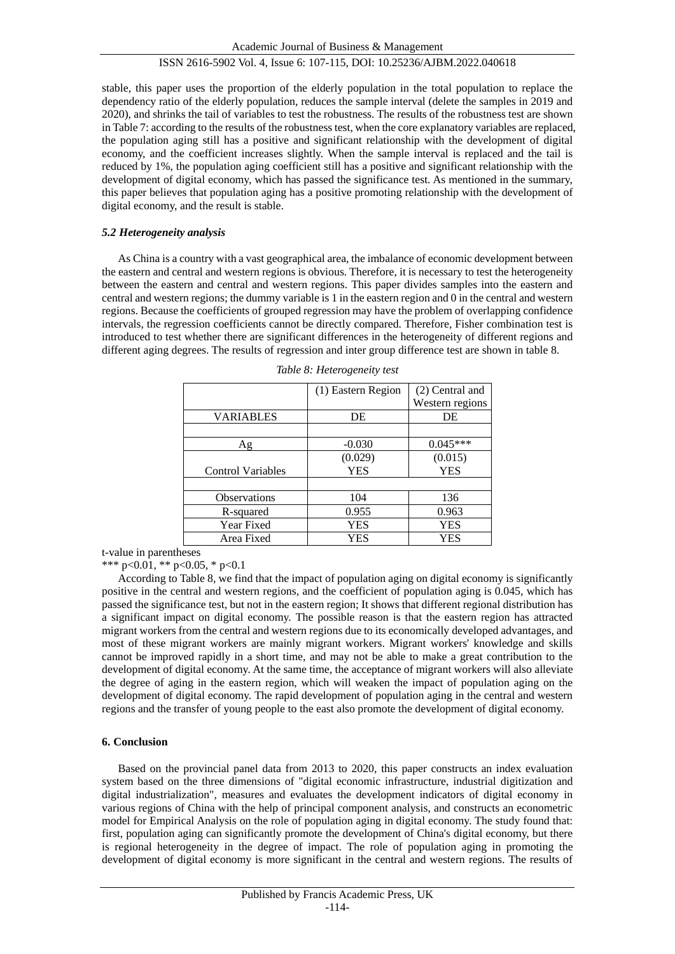stable, this paper uses the proportion of the elderly population in the total population to replace the dependency ratio of the elderly population, reduces the sample interval (delete the samples in 2019 and 2020), and shrinks the tail of variables to test the robustness. The results of the robustness test are shown in Table 7: according to the results of the robustness test, when the core explanatory variables are replaced, the population aging still has a positive and significant relationship with the development of digital economy, and the coefficient increases slightly. When the sample interval is replaced and the tail is reduced by 1%, the population aging coefficient still has a positive and significant relationship with the development of digital economy, which has passed the significance test. As mentioned in the summary, this paper believes that population aging has a positive promoting relationship with the development of digital economy, and the result is stable.

## *5.2 Heterogeneity analysis*

As China is a country with a vast geographical area, the imbalance of economic development between the eastern and central and western regions is obvious. Therefore, it is necessary to test the heterogeneity between the eastern and central and western regions. This paper divides samples into the eastern and central and western regions; the dummy variable is 1 in the eastern region and 0 in the central and western regions. Because the coefficients of grouped regression may have the problem of overlapping confidence intervals, the regression coefficients cannot be directly compared. Therefore, Fisher combination test is introduced to test whether there are significant differences in the heterogeneity of different regions and different aging degrees. The results of regression and inter group difference test are shown in table 8.

|                          | (1) Eastern Region | (2) Central and |
|--------------------------|--------------------|-----------------|
|                          |                    | Western regions |
| <b>VARIABLES</b>         | DE                 | DE              |
|                          |                    |                 |
| Αg                       | $-0.030$           | $0.045***$      |
|                          | (0.029)            | (0.015)         |
| <b>Control Variables</b> | <b>YES</b>         | <b>YES</b>      |
|                          |                    |                 |
| <b>Observations</b>      | 104                | 136             |
| R-squared                | 0.955              | 0.963           |
| Year Fixed               | <b>YES</b>         | <b>YES</b>      |
| Area Fixed               | YES                | YES             |

*Table 8: Heterogeneity test*

t-value in parentheses

\*\*\* p<0.01, \*\* p<0.05, \* p<0.1

According to Table 8, we find that the impact of population aging on digital economy is significantly positive in the central and western regions, and the coefficient of population aging is 0.045, which has passed the significance test, but not in the eastern region; It shows that different regional distribution has a significant impact on digital economy. The possible reason is that the eastern region has attracted migrant workers from the central and western regions due to its economically developed advantages, and most of these migrant workers are mainly migrant workers. Migrant workers' knowledge and skills cannot be improved rapidly in a short time, and may not be able to make a great contribution to the development of digital economy. At the same time, the acceptance of migrant workers will also alleviate the degree of aging in the eastern region, which will weaken the impact of population aging on the development of digital economy. The rapid development of population aging in the central and western regions and the transfer of young people to the east also promote the development of digital economy.

## **6. Conclusion**

Based on the provincial panel data from 2013 to 2020, this paper constructs an index evaluation system based on the three dimensions of "digital economic infrastructure, industrial digitization and digital industrialization", measures and evaluates the development indicators of digital economy in various regions of China with the help of principal component analysis, and constructs an econometric model for Empirical Analysis on the role of population aging in digital economy. The study found that: first, population aging can significantly promote the development of China's digital economy, but there is regional heterogeneity in the degree of impact. The role of population aging in promoting the development of digital economy is more significant in the central and western regions. The results of